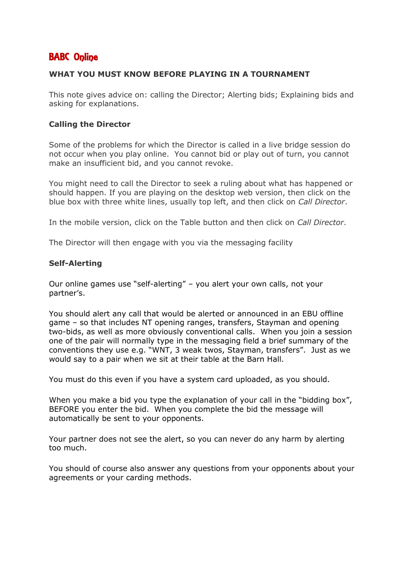# BABC Online

### **WHAT YOU MUST KNOW BEFORE PLAYING IN A TOURNAMENT**

This note gives advice on: calling the Director; Alerting bids; Explaining bids and asking for explanations.

## **Calling the Director**

Some of the problems for which the Director is called in a live bridge session do not occur when you play online. You cannot bid or play out of turn, you cannot make an insufficient bid, and you cannot revoke.

You might need to call the Director to seek a ruling about what has happened or should happen. If you are playing on the desktop web version, then click on the blue box with three white lines, usually top left, and then click on *Call Director*.

In the mobile version, click on the Table button and then click on *Call Director*.

The Director will then engage with you via the messaging facility

### **Self-Alerting**

Our online games use "self-alerting" – you alert your own calls, not your partner's.

You should alert any call that would be alerted or announced in an EBU offline game – so that includes NT opening ranges, transfers, Stayman and opening two-bids, as well as more obviously conventional calls. When you join a session one of the pair will normally type in the messaging field a brief summary of the conventions they use e.g. "WNT, 3 weak twos, Stayman, transfers". Just as we would say to a pair when we sit at their table at the Barn Hall.

You must do this even if you have a system card uploaded, as you should.

When you make a bid you type the explanation of your call in the "bidding box", BEFORE you enter the bid. When you complete the bid the message will automatically be sent to your opponents.

Your partner does not see the alert, so you can never do any harm by alerting too much.

You should of course also answer any questions from your opponents about your agreements or your carding methods.